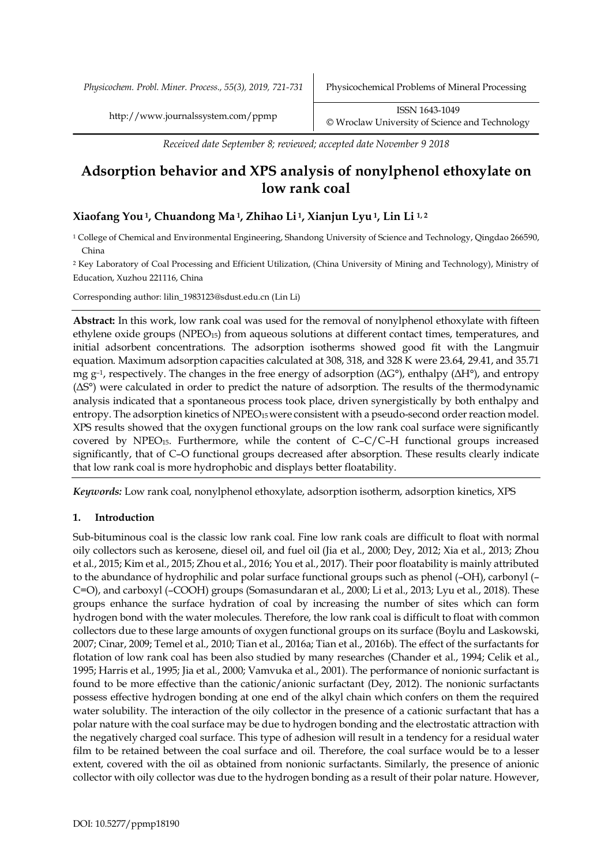*Received date September 8; reviewed; accepted date November 9 2018*

# **Adsorption behavior and XPS analysis of nonylphenol ethoxylate on low rank coal**

# **Xiaofang You1, Chuandong Ma 1, Zhihao Li 1, Xianjun Lyu1, Lin Li 1, 2**

<sup>1</sup> College of Chemical and Environmental Engineering, Shandong University of Science and Technology, Qingdao 266590, China

<sup>2</sup> Key Laboratory of Coal Processing and Efficient Utilization, (China University of Mining and Technology), Ministry of Education, Xuzhou 221116, China

Corresponding author: lilin\_1983123@sdust.edu.cn (Lin Li)

**Abstract:** In this work, low rank coal was used for the removal of nonylphenol ethoxylate with fifteen ethylene oxide groups (NPEO<sub>15</sub>) from aqueous solutions at different contact times, temperatures, and initial adsorbent concentrations. The adsorption isotherms showed good fit with the Langmuir equation. Maximum adsorption capacities calculated at 308, 318, and 328 K were 23.64, 29.41, and 35.71 mg  $g^{-1}$ , respectively. The changes in the free energy of adsorption ( $\Delta G^{\circ}$ ), enthalpy ( $\Delta H^{\circ}$ ), and entropy (ΔS°) were calculated in order to predict the nature of adsorption. The results of the thermodynamic analysis indicated that a spontaneous process took place, driven synergistically by both enthalpy and entropy. The adsorption kinetics of NPEO<sub>15</sub> were consistent with a pseudo-second order reaction model. XPS results showed that the oxygen functional groups on the low rank coal surface were significantly covered by  $NPEO<sub>15</sub>$ . Furthermore, while the content of C–C/C–H functional groups increased significantly, that of C–O functional groups decreased after absorption. These results clearly indicate that low rank coal is more hydrophobic and displays better floatability.

*Keywords:* Low rank coal, nonylphenol ethoxylate, adsorption isotherm, adsorption kinetics, XPS

# **1. Introduction**

Sub-bituminous coal is the classic low rank coal. Fine low rank coals are difficult to float with normal oily collectors such as kerosene, diesel oil, and fuel oil (Jia et al., 2000; Dey, 2012; Xia et al., 2013; Zhou et al., 2015; Kim et al., 2015; Zhou et al., 2016; You et al., 2017). Their poor floatability is mainly attributed to the abundance of hydrophilic and polar surface functional groups such as phenol (–OH), carbonyl (– C=O), and carboxyl (–COOH) groups (Somasundaran et al., 2000; Li et al., 2013; Lyu et al., 2018). These groups enhance the surface hydration of coal by increasing the number of sites which can form hydrogen bond with the water molecules. Therefore, the low rank coal is difficult to float with common collectors due to these large amounts of oxygen functional groups on its surface (Boylu and Laskowski, 2007; Cinar, 2009; Temel et al., 2010; Tian et al., 2016a; Tian et al., 2016b). The effect of the surfactants for flotation of low rank coal has been also studied by many researches (Chander et al., 1994; Celik et al., 1995; Harris et al., 1995; Jia et al., 2000; Vamvuka et al., 2001). The performance of nonionic surfactant is found to be more effective than the cationic/anionic surfactant (Dey, 2012). The nonionic surfactants possess effective hydrogen bonding at one end of the alkyl chain which confers on them the required water solubility. The interaction of the oily collector in the presence of a cationic surfactant that has a polar nature with the coal surface may be due to hydrogen bonding and the electrostatic attraction with the negatively charged coal surface. This type of adhesion will result in a tendency for a residual water film to be retained between the coal surface and oil. Therefore, the coal surface would be to a lesser extent, covered with the oil as obtained from nonionic surfactants. Similarly, the presence of anionic collector with oily collector was due to the hydrogen bonding as a result of their polar nature. However,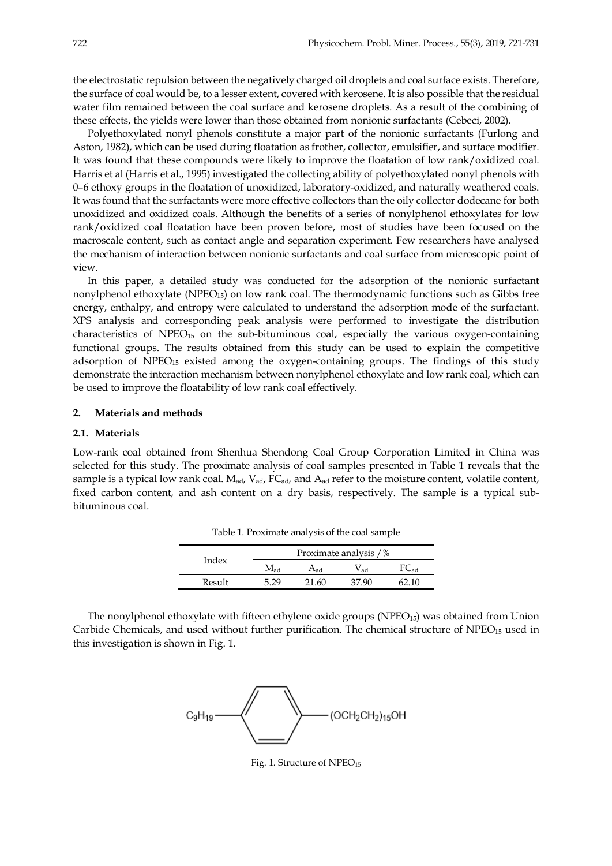the electrostatic repulsion between the negatively charged oil droplets and coal surface exists. Therefore, the surface of coal would be, to a lesser extent, covered with kerosene. It is also possible that the residual water film remained between the coal surface and kerosene droplets. As a result of the combining of these effects, the yields were lower than those obtained from nonionic surfactants (Cebeci, 2002).

Polyethoxylated nonyl phenols constitute a major part of the nonionic surfactants (Furlong and Aston, 1982), which can be used during floatation as frother, collector, emulsifier, and surface modifier. It was found that these compounds were likely to improve the floatation of low rank/oxidized coal. Harris et al (Harris et al., 1995) investigated the collecting ability of polyethoxylated nonyl phenols with 0–6 ethoxy groups in the floatation of unoxidized, laboratory-oxidized, and naturally weathered coals. It was found that the surfactants were more effective collectors than the oily collector dodecane for both unoxidized and oxidized coals. Although the benefits of a series of nonylphenol ethoxylates for low rank/oxidized coal floatation have been proven before, most of studies have been focused on the macroscale content, such as contact angle and separation experiment. Few researchers have analysed the mechanism of interaction between nonionic surfactants and coal surface from microscopic point of view.

In this paper, a detailed study was conducted for the adsorption of the nonionic surfactant nonylphenol ethoxylate (NPEO15) on low rank coal. The thermodynamic functions such as Gibbs free energy, enthalpy, and entropy were calculated to understand the adsorption mode of the surfactant. XPS analysis and corresponding peak analysis were performed to investigate the distribution characteristics of NPEO<sub>15</sub> on the sub-bituminous coal, especially the various oxygen-containing functional groups. The results obtained from this study can be used to explain the competitive adsorption of  $NPEO<sub>15</sub>$  existed among the oxygen-containing groups. The findings of this study demonstrate the interaction mechanism between nonylphenol ethoxylate and low rank coal, which can be used to improve the floatability of low rank coal effectively.

## **2. Materials and methods**

# **2.1. Materials**

Low-rank coal obtained from Shenhua Shendong Coal Group Corporation Limited in China was selected for this study. The proximate analysis of coal samples presented in Table 1 reveals that the sample is a typical low rank coal. M<sub>ad</sub>, V<sub>ad</sub>, FC<sub>ad</sub>, and A<sub>ad</sub> refer to the moisture content, volatile content, fixed carbon content, and ash content on a dry basis, respectively. The sample is a typical subbituminous coal.

| Index  | Proximate analysis / % |      |      |  |  |
|--------|------------------------|------|------|--|--|
|        | Mad                    | Had. | ' ad |  |  |
| Result |                        |      |      |  |  |

Table 1. Proximate analysis of the coal sample

The nonylphenol ethoxylate with fifteen ethylene oxide groups ( $NPEO<sub>15</sub>$ ) was obtained from Union Carbide Chemicals, and used without further purification. The chemical structure of NPEO<sub>15</sub> used in this investigation is shown in Fig. 1.



Fig. 1. Structure of NPEO<sub>15</sub>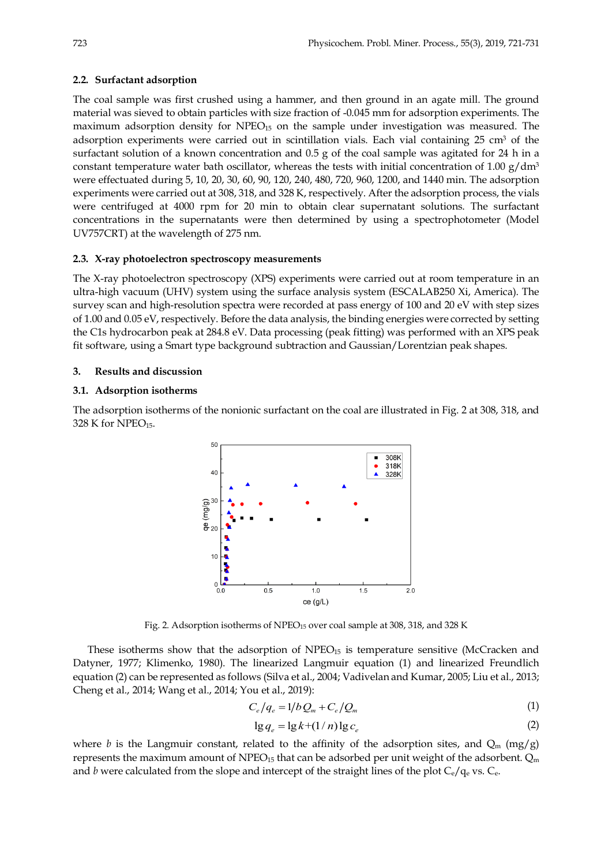## **2.2. Surfactant adsorption**

The coal sample was first crushed using a hammer, and then ground in an agate mill. The ground material was sieved to obtain particles with size fraction of -0.045 mm for adsorption experiments. The maximum adsorption density for NPEO15 on the sample under investigation was measured. The adsorption experiments were carried out in scintillation vials. Each vial containing 25 cm<sup>3</sup> of the surfactant solution of a known concentration and 0.5 g of the coal sample was agitated for 24 h in a constant temperature water bath oscillator, whereas the tests with initial concentration of 1.00  $g/dm<sup>3</sup>$ were effectuated during 5, 10, 20, 30, 60, 90, 120, 240, 480, 720, 960, 1200, and 1440 min. The adsorption experiments were carried out at 308, 318, and 328 K, respectively. After the adsorption process, the vials were centrifuged at 4000 rpm for 20 min to obtain clear supernatant solutions. The surfactant concentrations in the supernatants were then determined by using a spectrophotometer (Model UV757CRT) at the wavelength of 275 nm.

## **2.3. X-ray photoelectron spectroscopy measurements**

The X-ray photoelectron spectroscopy (XPS) experiments were carried out at room temperature in an ultra-high vacuum (UHV) system using the surface analysis system (ESCALAB250 Xi, America). The survey scan and high-resolution spectra were recorded at pass energy of 100 and 20 eV with step sizes of 1.00 and 0.05 eV, respectively. Before the data analysis, the binding energies were corrected by setting the C1s hydrocarbon peak at 284.8 eV. Data processing (peak fitting) was performed with an XPS peak fit software, using a Smart type background subtraction and Gaussian/Lorentzian peak shapes.

#### **3. Results and discussion**

#### **3.1. Adsorption isotherms**

The adsorption isotherms of the nonionic surfactant on the coal are illustrated in Fig. 2 at 308, 318, and 328 K for NPEO<sub>15</sub>.



Fig. 2. Adsorption isotherms of NPEO<sub>15</sub> over coal sample at 308, 318, and 328 K

These isotherms show that the adsorption of  $NPEO<sub>15</sub>$  is temperature sensitive (McCracken and Datyner, 1977; Klimenko, 1980). The linearized Langmuir equation (1) and linearized Freundlich equation (2) can be represented as follows (Silva et al., 2004; Vadivelan and Kumar, 2005; Liu et al., 2013; Cheng et al., 2014; Wang et al., 2014; You et al., 2019):

$$
C_e/q_e = 1/b Q_m + C_e/Q_m \tag{1}
$$

$$
\lg q_e = \lg k + (1/n) \lg c_e \tag{2}
$$

where *b* is the Langmuir constant, related to the affinity of the adsorption sites, and  $Q_m$  (mg/g) represents the maximum amount of NPEO<sub>15</sub> that can be adsorbed per unit weight of the adsorbent.  $Q_m$ and *b* were calculated from the slope and intercept of the straight lines of the plot  $C_e/q_e$  vs.  $C_e$ .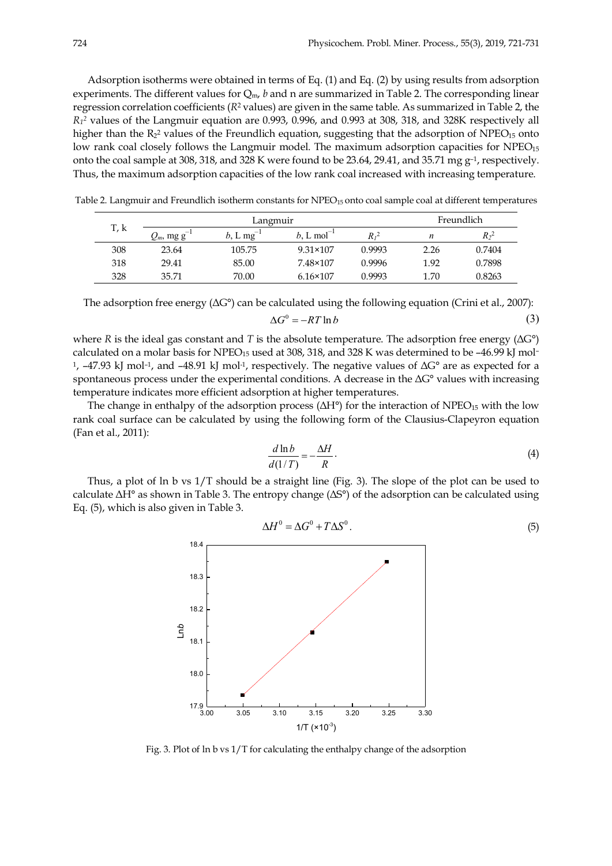Adsorption isotherms were obtained in terms of Eq. (1) and Eq. (2) by using results from adsorption experiments. The different values for Qm, *b* and n are summarized in Table 2. The corresponding linear regression correlation coefficients (*R*<sup>2</sup> values) are given in the same table. As summarized in Table 2, the *R12* values of the Langmuir equation are 0.993, 0.996, and 0.993 at 308, 318, and 328K respectively all higher than the  $R_2$ <sup>2</sup> values of the Freundlich equation, suggesting that the adsorption of NPEO<sub>15</sub> onto low rank coal closely follows the Langmuir model. The maximum adsorption capacities for  $NPEO_{15}$ onto the coal sample at 308, 318, and 328 K were found to be 23.64, 29.41, and 35.71 mg  $g^{-1}$ , respectively. Thus, the maximum adsorption capacities of the low rank coal increased with increasing temperature.

|      | Langmuir             |                |                           |        | Freundlich |         |
|------|----------------------|----------------|---------------------------|--------|------------|---------|
| T, k | $Q_m$ , mg g $^{-1}$ | $b, L mg^{-1}$ | $b$ . L mol <sup>-1</sup> | R , 2  | n          | $R_2^2$ |
| 308  | 23.64                | 105.75         | $9.31 \times 107$         | 0.9993 | 2.26       | 0.7404  |
| 318  | 29.41                | 85.00          | 7.48×107                  | 0.9996 | 1.92       | 0.7898  |
| 328  | 35.71                | 70.00          | $6.16 \times 107$         | 0.9993 | 1.70       | 0.8263  |

Table 2. Langmuir and Freundlich isotherm constants for NPEO<sub>15</sub> onto coal sample coal at different temperatures

The adsorption free energy  $(\Delta G^{\circ})$  can be calculated using the following equation (Crini et al., 2007):

$$
\Delta G^0 = -RT \ln b \tag{3}
$$

where *R* is the ideal gas constant and *T* is the absolute temperature. The adsorption free energy (ΔG°) calculated on a molar basis for NPEO<sub>15</sub> used at 308, 318, and 328 K was determined to be -46.99 kJ mol-<sup>1</sup>,  $-47.93$  kJ mol<sup>-1</sup>, and  $-48.91$  kJ mol<sup>-1</sup>, respectively. The negative values of  $\Delta G^{\circ}$  are as expected for a spontaneous process under the experimental conditions. A decrease in the  $\Delta G^{\circ}$  values with increasing temperature indicates more efficient adsorption at higher temperatures.

The change in enthalpy of the adsorption process  $(\Delta H^{\circ})$  for the interaction of NPEO<sub>15</sub> with the low rank coal surface can be calculated by using the following form of the Clausius-Clapeyron equation (Fan et al., 2011):

$$
\frac{d\ln b}{d(1/T)} = -\frac{\Delta H}{R}.\tag{4}
$$

Thus, a plot of ln b vs 1/T should be a straight line (Fig. 3). The slope of the plot can be used to calculate  $\Delta H^{\circ}$  as shown in Table 3. The entropy change ( $\Delta S^{\circ}$ ) of the adsorption can be calculated using Eq. (5), which is also given in Table 3.



.  $(5)$  $\Delta H^0 = \Delta G^0 + T \Delta S^0$ 

Fig. 3. Plot of ln b vs 1/T for calculating the enthalpy change of the adsorption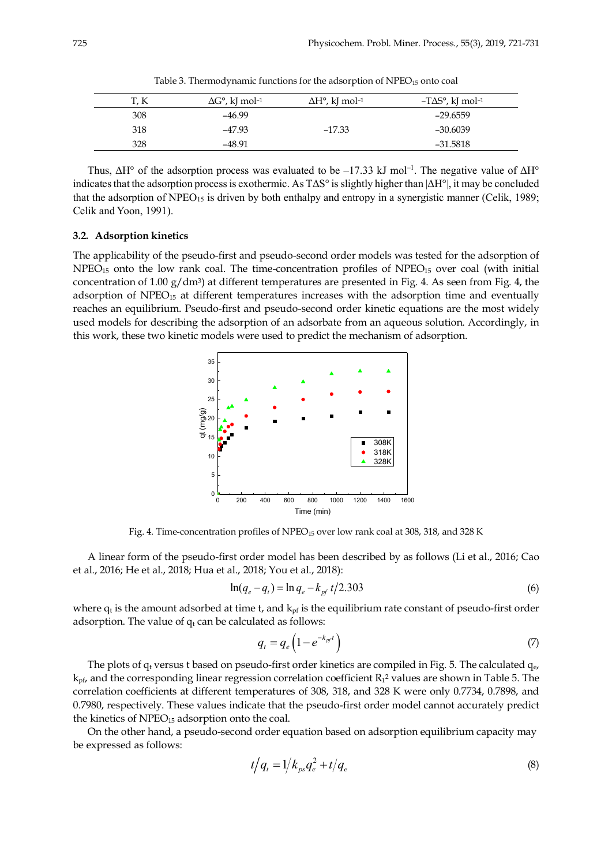| T, K | $\Delta G^{\circ}$ , kJ mol-1 | $\Delta H^{\circ}$ , kJ mol-1 | $-T\Delta S^\circ$ , kJ mol-1 |
|------|-------------------------------|-------------------------------|-------------------------------|
| 308  | -46.99                        |                               | -29.6559                      |
| 318  | $-47.93$                      | $-17.33$                      | $-30.6039$                    |
| 328  | -48.91                        |                               | -31.5818                      |

Table 3. Thermodynamic functions for the adsorption of NPEO<sub>15</sub> onto coal

Thus,  $\Delta H^{\circ}$  of the adsorption process was evaluated to be -17.33 kJ mol<sup>-1</sup>. The negative value of  $\Delta H^{\circ}$ indicates that the adsorption process is exothermic. As  $T\Delta S^{\circ}$  is slightly higher than  $|\Delta H^{\circ}|$ , it may be concluded that the adsorption of  $NPEO<sub>15</sub>$  is driven by both enthalpy and entropy in a synergistic manner (Celik, 1989; Celik and Yoon, 1991).

#### **3.2. Adsorption kinetics**

The applicability of the pseudo-first and pseudo-second order models was tested for the adsorption of NPEO<sub>15</sub> onto the low rank coal. The time-concentration profiles of NPEO<sub>15</sub> over coal (with initial concentration of 1.00  $g/dm^3$ ) at different temperatures are presented in Fig. 4. As seen from Fig. 4, the adsorption of  $NPEO<sub>15</sub>$  at different temperatures increases with the adsorption time and eventually reaches an equilibrium. Pseudo-first and pseudo-second order kinetic equations are the most widely used models for describing the adsorption of an adsorbate from an aqueous solution. Accordingly, in this work, these two kinetic models were used to predict the mechanism of adsorption.



Fig. 4. Time-concentration profiles of NPEO<sub>15</sub> over low rank coal at 308, 318, and 328 K

A linear form of the pseudo-first order model has been described by as follows (Li et al., 2016; Cao et al., 2016; He et al., 2018; Hua et al., 2018; You et al., 2018):

$$
\ln(q_e - q_t) = \ln q_e - k_{pf} t/2.303\tag{6}
$$

where  $q_t$  is the amount adsorbed at time t, and  $k_{pf}$  is the equilibrium rate constant of pseudo-first order adsorption. The value of  $q_t$  can be calculated as follows:

$$
q_t = q_e \left( 1 - e^{-k_{pf}t} \right) \tag{7}
$$

The plots of  $q_t$  versus t based on pseudo-first order kinetics are compiled in Fig. 5. The calculated  $q_e$  $k_{\text{pf}}$ , and the corresponding linear regression correlation coefficient  $R_1$ <sup>2</sup> values are shown in Table 5. The correlation coefficients at different temperatures of 308, 318, and 328 K were only 0.7734, 0.7898, and 0.7980, respectively. These values indicate that the pseudo-first order model cannot accurately predict the kinetics of  $NPEO<sub>15</sub>$  adsorption onto the coal.

On the other hand, a pseudo-second order equation based on adsorption equilibrium capacity may be expressed as follows:

$$
t/q_t = 1/k_{ps}q_e^2 + t/q_e \tag{8}
$$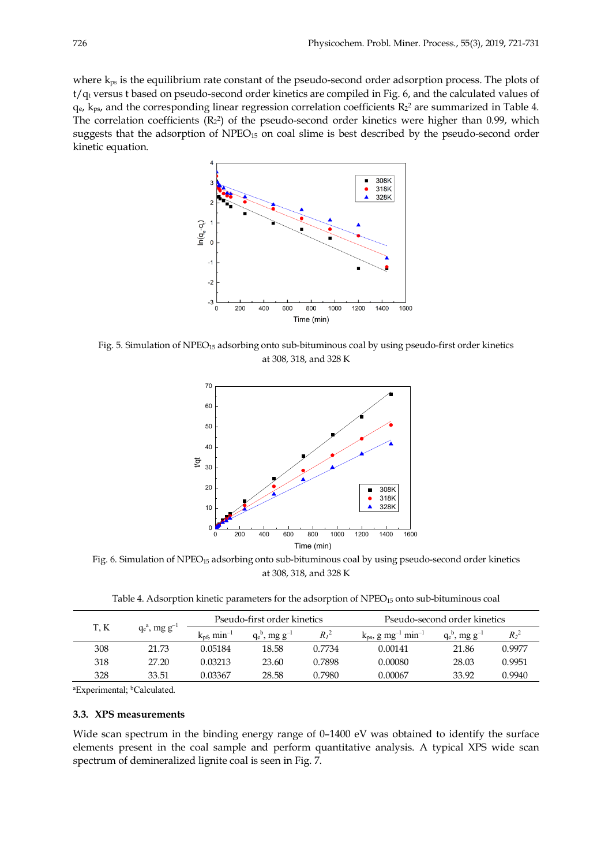where  $k_{ps}$  is the equilibrium rate constant of the pseudo-second order adsorption process. The plots of t/qt versus t based on pseudo-second order kinetics are compiled in Fig. 6, and the calculated values of  $q_{e}$ ,  $k_{ps}$ , and the corresponding linear regression correlation coefficients  $R_2$ <sup>2</sup> are summarized in Table 4. The correlation coefficients  $(R_2^2)$  of the pseudo-second order kinetics were higher than 0.99, which suggests that the adsorption of NPEO<sub>15</sub> on coal slime is best described by the pseudo-second order kinetic equation.



Fig. 5. Simulation of  $NPEO<sub>15</sub>$  adsorbing onto sub-bituminous coal by using pseudo-first order kinetics at 308, 318, and 328 K



Fig. 6. Simulation of NPEO<sub>15</sub> adsorbing onto sub-bituminous coal by using pseudo-second order kinetics at 308, 318, and 328 K

Table 4. Adsorption kinetic parameters for the adsorption of NPEO15 onto sub-bituminous coal

|     |                              | Pseudo-first order kinetics      |                              | Pseudo-second order kinetics |                                                 |                              |                             |
|-----|------------------------------|----------------------------------|------------------------------|------------------------------|-------------------------------------------------|------------------------------|-----------------------------|
| T.K | $q_e^a$ , mg g <sup>-1</sup> | $k_{\rm pf}$ , min <sup>-1</sup> | $q_e^b$ , mg g <sup>-1</sup> | $R_I^2$                      | $k_{ps}$ , g mg <sup>-1</sup> min <sup>-1</sup> | $q_e^p$ , mg g <sup>-1</sup> | R <sub>2</sub> <sup>2</sup> |
| 308 | 21.73                        | 0.05184                          | 18.58                        | 0.7734                       | 0.00141                                         | 21.86                        | 0.9977                      |
| 318 | 27.20                        | 0.03213                          | 23.60                        | 0.7898                       | 0.00080                                         | 28.03                        | 0.9951                      |
| 328 | 33.51                        | 0.03367                          | 28.58                        | 0.7980                       | 0.00067                                         | 33.92                        | 0.9940                      |

<sup>a</sup>Experimental; <sup>b</sup>Calculated.

## **3.3. XPS measurements**

Wide scan spectrum in the binding energy range of 0–1400 eV was obtained to identify the surface elements present in the coal sample and perform quantitative analysis. A typical XPS wide scan spectrum of demineralized lignite coal is seen in Fig. 7.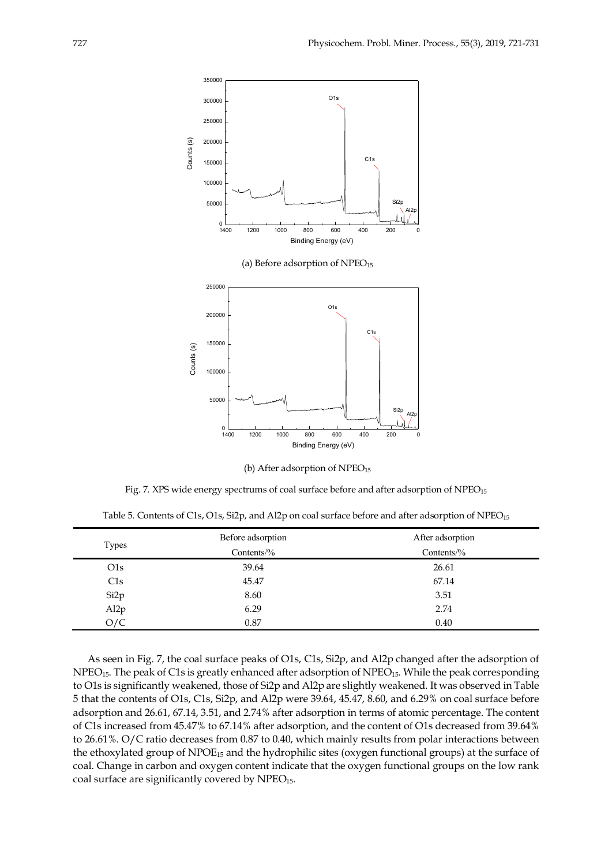

| (b) After adsorption of $NPEO15$ |  |
|----------------------------------|--|
|----------------------------------|--|

Fig. 7. XPS wide energy spectrums of coal surface before and after adsorption of  $NPEO_{15}$ 

| Table 5. Contents of C1s, O1s, Si2p, and Al2p on coal surface before and after adsorption of $NPEO_{15}$ |  |  |  |  |
|----------------------------------------------------------------------------------------------------------|--|--|--|--|
|----------------------------------------------------------------------------------------------------------|--|--|--|--|

|                  | Before adsorption | After adsorption |  |
|------------------|-------------------|------------------|--|
| Types            | Contents/%        | Contents/ $%$    |  |
| O1s              | 39.64             | 26.61            |  |
| C1s              | 45.47             | 67.14            |  |
| Si <sub>2p</sub> | 8.60              | 3.51             |  |
| Al <sub>2p</sub> | 6.29              | 2.74             |  |
| O/C              | 0.87              | 0.40             |  |

As seen in Fig. 7, the coal surface peaks of O1s, C1s, Si2p, and Al2p changed after the adsorption of NPEO<sub>15</sub>. The peak of C1s is greatly enhanced after adsorption of NPEO<sub>15</sub>. While the peak corresponding to O1s is significantly weakened, those of Si2p and Al2p are slightly weakened. It was observed in Table 5 that the contents of O1s, C1s, Si2p, and Al2p were 39.64, 45.47, 8.60, and 6.29% on coal surface before adsorption and 26.61, 67.14, 3.51, and 2.74% after adsorption in terms of atomic percentage. The content of C1s increased from 45.47% to 67.14% after adsorption, and the content of O1s decreased from 39.64% to 26.61%. O/C ratio decreases from 0.87 to 0.40, which mainly results from polar interactions between the ethoxylated group of NPOE15 and the hydrophilic sites (oxygen functional groups) at the surface of coal. Change in carbon and oxygen content indicate that the oxygen functional groups on the low rank coal surface are significantly covered by NPEO<sub>15</sub>.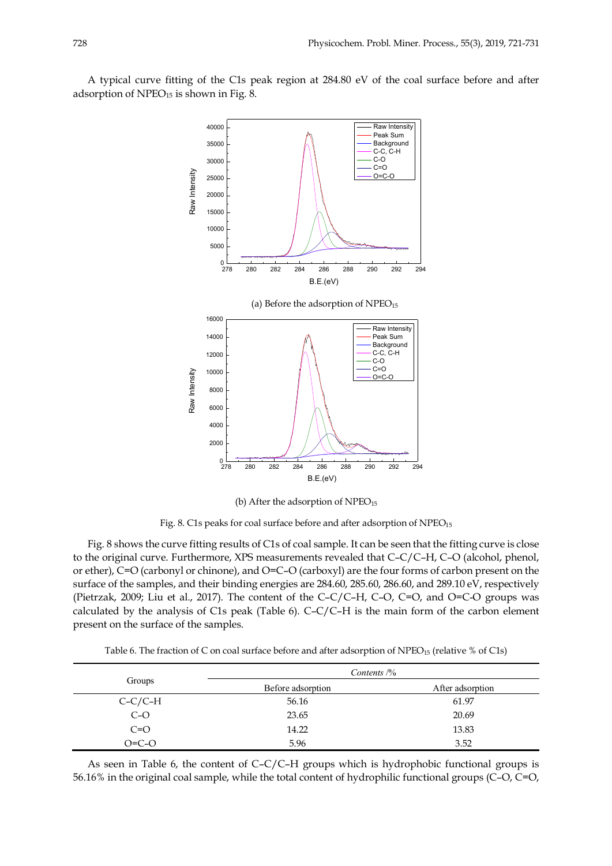A typical curve fitting of the C1s peak region at 284.80 eV of the coal surface before and after adsorption of NPEO<sub>15</sub> is shown in Fig. 8.



(b) After the adsorption of  $NPEO<sub>15</sub>$ 

Fig. 8. C1s peaks for coal surface before and after adsorption of NPEO<sub>15</sub>

Fig. 8 shows the curve fitting results of C1s of coal sample. It can be seen that the fitting curve is close to the original curve. Furthermore, XPS measurements revealed that C–C/C–H, C–O (alcohol, phenol, or ether), C=O (carbonyl or chinone), and O=C–O (carboxyl) are the four forms of carbon present on the surface of the samples, and their binding energies are 284.60, 285.60, 286.60, and 289.10 eV, respectively (Pietrzak, 2009; Liu et al., 2017). The content of the C–C/C–H, C–O, C=O, and O=C-O groups was calculated by the analysis of C1s peak (Table 6). C–C/C–H is the main form of the carbon element present on the surface of the samples.

Table 6. The fraction of C on coal surface before and after adsorption of NPEO<sub>15</sub> (relative % of C1s)

|           | Contents $\frac{1}{6}$ |                  |
|-----------|------------------------|------------------|
| Groups    | Before adsorption      | After adsorption |
| $C-C/C-H$ | 56.16                  | 61.97            |
| $C-O$     | 23.65                  | 20.69            |
| $C=O$     | 14.22                  | 13.83            |
| $O=C-O$   | 5.96                   | 3.52             |

As seen in Table 6, the content of C–C/C–H groups which is hydrophobic functional groups is 56.16% in the original coal sample, while the total content of hydrophilic functional groups (C–O, C=O,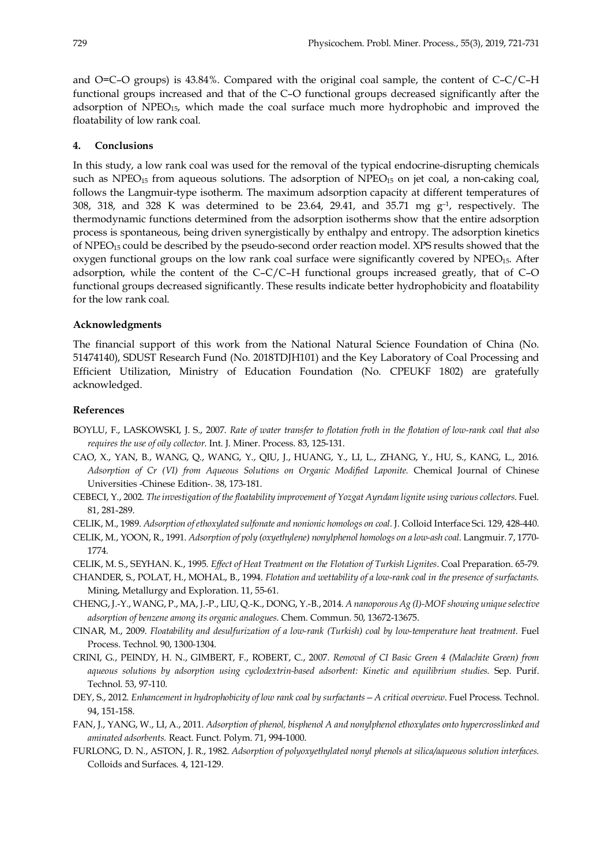and O=C–O groups) is 43.84%. Compared with the original coal sample, the content of C–C/C–H functional groups increased and that of the C–O functional groups decreased significantly after the adsorption of  $NPEO<sub>15</sub>$ , which made the coal surface much more hydrophobic and improved the floatability of low rank coal.

#### **4. Conclusions**

In this study, a low rank coal was used for the removal of the typical endocrine-disrupting chemicals such as NPEO<sub>15</sub> from aqueous solutions. The adsorption of NPEO<sub>15</sub> on jet coal, a non-caking coal, follows the Langmuir-type isotherm. The maximum adsorption capacity at different temperatures of 308, 318, and 328 K was determined to be 23.64, 29.41, and 35.71 mg  $g<sup>-1</sup>$ , respectively. The thermodynamic functions determined from the adsorption isotherms show that the entire adsorption process is spontaneous, being driven synergistically by enthalpy and entropy. The adsorption kinetics of NPEO15 could be described by the pseudo-second order reaction model. XPS results showed that the oxygen functional groups on the low rank coal surface were significantly covered by  $NPEO<sub>15</sub>$ . After adsorption, while the content of the C–C/C–H functional groups increased greatly, that of C–O functional groups decreased significantly. These results indicate better hydrophobicity and floatability for the low rank coal.

#### **Acknowledgments**

The financial support of this work from the National Natural Science Foundation of China (No. 51474140), SDUST Research Fund (No. 2018TDJH101) and the Key Laboratory of Coal Processing and Efficient Utilization, Ministry of Education Foundation (No. CPEUKF 1802) are gratefully acknowledged.

## **References**

- BOYLU, F., LASKOWSKI, J. S., 2007. *Rate of water transfer to flotation froth in the flotation of low-rank coal that also requires the use of oily collector*. Int. J. Miner. Process. 83, 125-131.
- CAO, X., YAN, B., WANG, Q., WANG, Y., QIU, J., HUANG, Y., LI, L., ZHANG, Y., HU, S., KANG, L., 2016. *Adsorption of Cr (VI) from Aqueous Solutions on Organic Modified Laponite.* Chemical Journal of Chinese Universities -Chinese Edition-. 38, 173-181.
- CEBECI, Y., 2002. *The investigation of the floatability improvement of Yozgat Ayrıdam lignite using various collectors*. Fuel. 81, 281-289.
- CELIK, M., 1989. *Adsorption of ethoxylated sulfonate and nonionic homologs on coal.* J. Colloid Interface Sci. 129, 428-440.
- CELIK, M., YOON, R., 1991. *Adsorption of poly (oxyethylene) nonylphenol homologs on a low-ash coal.* Langmuir. 7, 1770- 1774.
- CELIK, M. S., SEYHAN. K., 1995. *Effect of Heat Treatment on the Flotation of Turkish Lignites*. Coal Preparation. 65-79.
- CHANDER, S., POLAT, H., MOHAL, B., 1994. *Flotation and wettability of a low-rank coal in the presence of surfactants.* Mining, Metallurgy and Exploration. 11, 55-61.
- CHENG, J.-Y., WANG, P., MA, J.-P., LIU, Q.-K., DONG, Y.-B., 2014. *A nanoporous Ag (I)-MOF showing unique selective adsorption of benzene among its organic analogues*. Chem. Commun. 50, 13672-13675.
- CINAR, M., 2009. *Floatability and desulfurization of a low-rank (Turkish) coal by low-temperature heat treatment.* Fuel Process. Technol. 90, 1300-1304.
- CRINI, G., PEINDY, H. N., GIMBERT, F., ROBERT, C., 2007. *Removal of CI Basic Green 4 (Malachite Green) from aqueous solutions by adsorption using cyclodextrin-based adsorbent: Kinetic and equilibrium studies.* Sep. Purif. Technol. 53, 97-110.
- DEY, S., 2012. *Enhancement in hydrophobicity of low rank coal by surfactants—A critical overview*. Fuel Process. Technol. 94, 151-158.
- FAN, J., YANG, W., LI, A., 2011. *Adsorption of phenol, bisphenol A and nonylphenol ethoxylates onto hypercrosslinked and aminated adsorbents.* React. Funct. Polym. 71, 994-1000.
- FURLONG, D. N., ASTON, J. R., 1982. *Adsorption of polyoxyethylated nonyl phenols at silica/aqueous solution interfaces.*  Colloids and Surfaces. 4, 121-129.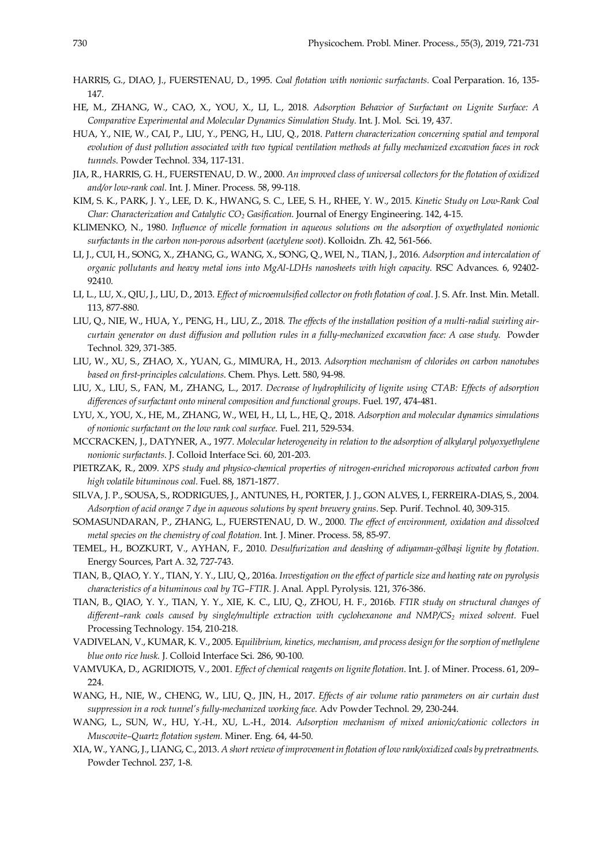- HARRIS, G., DIAO, J., FUERSTENAU, D., 1995. *Coal flotation with nonionic surfactants.* Coal Perparation. 16, 135- 147.
- HE, M., ZHANG, W., CAO, X., YOU, X., LI, L., 2018. *Adsorption Behavior of Surfactant on Lignite Surface: A Comparative Experimental and Molecular Dynamics Simulation Study.* Int. J. Mol. Sci. 19, 437.
- HUA, Y., NIE, W., CAI, P., LIU, Y., PENG, H., LIU, Q., 2018. *Pattern characterization concerning spatial and temporal evolution of dust pollution associated with two typical ventilation methods at fully mechanized excavation faces in rock tunnels*. Powder Technol. 334, 117-131.
- JIA, R., HARRIS, G. H., FUERSTENAU, D. W., 2000. *An improved class of universal collectors for the flotation of oxidized and/or low-rank coal*. Int. J. Miner. Process. 58, 99-118.
- KIM, S. K., PARK, J. Y., LEE, D. K., HWANG, S. C., LEE, S. H., RHEE, Y. W., 2015. *Kinetic Study on Low-Rank Coal Char: Characterization and Catalytic CO2 Gasification*. Journal of Energy Engineering. 142, 4-15.
- KLIMENKO, N., 1980. *Influence of micelle formation in aqueous solutions on the adsorption of oxyethylated nonionic surfactants in the carbon non-porous adsorbent (acetylene soot)*. Kolloidn. Zh. 42, 561-566.
- LI, J., CUI, H., SONG, X., ZHANG, G., WANG, X., SONG, Q., WEI, N., TIAN, J., 2016. *Adsorption and intercalation of organic pollutants and heavy metal ions into MgAl-LDHs nanosheets with high capacity*. RSC Advances. 6, 92402- 92410.
- LI, L., LU, X., QIU, J., LIU, D., 2013. *Effect of microemulsified collector on froth flotation of coal*. J. S. Afr. Inst. Min. Metall. 113, 877-880.
- LIU, Q., NIE, W., HUA, Y., PENG, H., LIU, Z., 2018. *The effects of the installation position of a multi-radial swirling aircurtain generator on dust diffusion and pollution rules in a fully-mechanized excavation face: A case study.* Powder Technol. 329, 371-385.
- LIU, W., XU, S., ZHAO, X., YUAN, G., MIMURA, H., 2013. *Adsorption mechanism of chlorides on carbon nanotubes based on first-principles calculations*. Chem. Phys. Lett. 580, 94-98.
- LIU, X., LIU, S., FAN, M., ZHANG, L., 2017. *Decrease of hydrophilicity of lignite using CTAB: Effects of adsorption differences of surfactant onto mineral composition and functional groups*. Fuel. 197, 474-481.
- LYU, X., YOU, X., HE, M., ZHANG, W., WEI, H., LI, L., HE, Q., 2018. *Adsorption and molecular dynamics simulations of nonionic surfactant on the low rank coal surface*. Fuel. 211, 529-534.
- MCCRACKEN, J., DATYNER, A., 1977. *Molecular heterogeneity in relation to the adsorption of alkylaryl polyoxyethylene nonionic surfactants*. J. Colloid Interface Sci. 60, 201-203.
- PIETRZAK, R., 2009. *XPS study and physico-chemical properties of nitrogen-enriched microporous activated carbon from high volatile bituminous coal*. Fuel. 88, 1871-1877.
- SILVA, J. P., SOUSA, S., RODRIGUES, J., ANTUNES, H., PORTER, J. J., GON ALVES, I., FERREIRA-DIAS, S., 2004. *Adsorption of acid orange 7 dye in aqueous solutions by spent brewery grains*. Sep. Purif. Technol. 40, 309-315.
- SOMASUNDARAN, P., ZHANG, L., FUERSTENAU, D. W., 2000. *The effect of environment, oxidation and dissolved metal species on the chemistry of coal flotation*. Int. J. Miner. Process. 58, 85-97.
- TEMEL, H., BOZKURT, V., AYHAN, F., 2010. *Desulfurization and deashing of adiyaman-gölbaşi lignite by flotation.* Energy Sources, Part A. 32, 727-743.
- TIAN, B., QIAO, Y. Y., TIAN, Y. Y., LIU, Q., 2016a. *Investigation on the effect of particle size and heating rate on pyrolysis characteristics of a bituminous coal by TG–FTIR.* J. Anal. Appl. Pyrolysis. 121, 376-386.
- TIAN, B., QIAO, Y. Y., TIAN, Y. Y., XIE, K. C., LIU, Q., ZHOU, H. F., 2016b. *FTIR study on structural changes of different–rank coals caused by single/multiple extraction with cyclohexanone and NMP/CS2 mixed solvent.* Fuel Processing Technology. 154, 210-218.
- VADIVELAN, V., KUMAR, K. V., 2005. E*quilibrium, kinetics, mechanism, and process design for the sorption of methylene blue onto rice husk.* J. Colloid Interface Sci. 286, 90-100.
- VAMVUKA, D., AGRIDIOTS, V., 2001. *Effect of chemical reagents on lignite flotation*. Int. J. of Miner. Process. 61, 209– 224.
- WANG, H., NIE, W., CHENG, W., LIU, Q., JIN, H., 2017. *Effects of air volume ratio parameters on air curtain dust suppression in a rock tunnel's fully-mechanized working face.* Adv Powder Technol. 29, 230-244.
- WANG, L., SUN, W., HU, Y.-H., XU, L.-H., 2014. *Adsorption mechanism of mixed anionic/cationic collectors in Muscovite–Quartz flotation system.* Miner. Eng. 64, 44-50.
- XIA, W., YANG, J., LIANG, C., 2013. *A short review of improvement in flotation of low rank/oxidized coals by pretreatments.* Powder Technol. 237, 1-8.